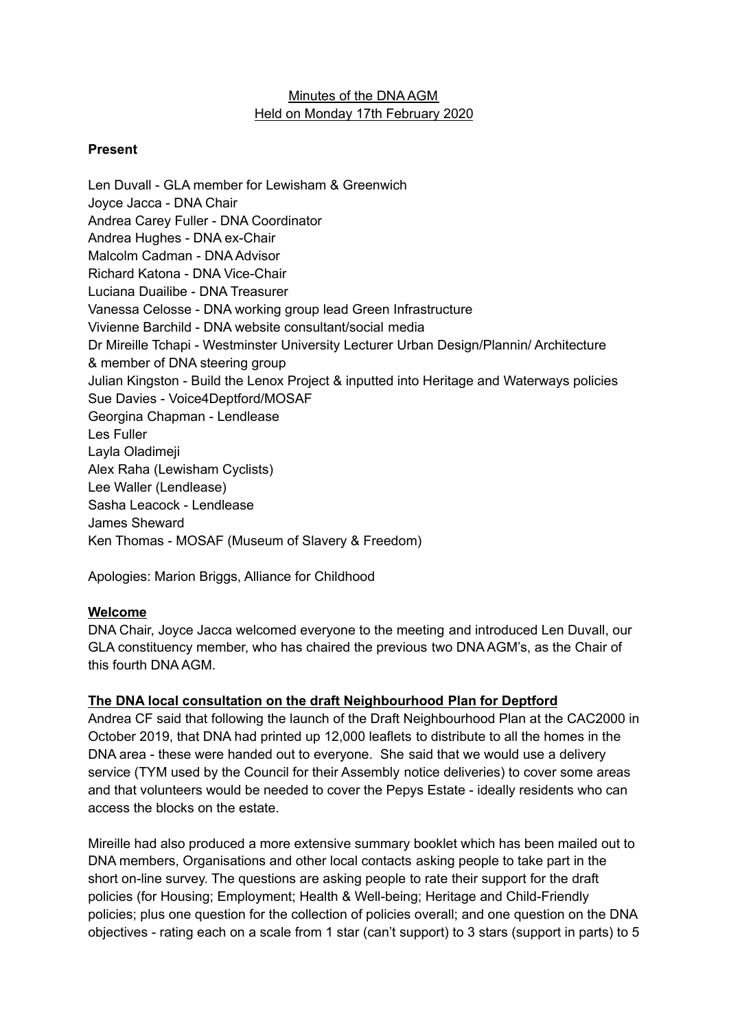# Minutes of the DNA AGM Held on Monday 17th February 2020

## **Present**

Len Duvall - GLA member for Lewisham & Greenwich Joyce Jacca - DNA Chair Andrea Carey Fuller - DNA Coordinator Andrea Hughes - DNA ex-Chair Malcolm Cadman - DNA Advisor Richard Katona - DNA Vice-Chair Luciana Duailibe - DNA Treasurer Vanessa Celosse - DNA working group lead Green Infrastructure Vivienne Barchild - DNA website consultant/social media Dr Mireille Tchapi - Westminster University Lecturer Urban Design/Plannin/ Architecture & member of DNA steering group Julian Kingston - Build the Lenox Project & inputted into Heritage and Waterways policies Sue Davies - Voice4Deptford/MOSAF Georgina Chapman - Lendlease Les Fuller Layla Oladimeji Alex Raha (Lewisham Cyclists) Lee Waller (Lendlease) Sasha Leacock - Lendlease James Sheward Ken Thomas - MOSAF (Museum of Slavery & Freedom)

Apologies: Marion Briggs, Alliance for Childhood

## **Welcome**

DNA Chair, Joyce Jacca welcomed everyone to the meeting and introduced Len Duvall, our GLA constituency member, who has chaired the previous two DNA AGM's, as the Chair of this fourth DNA AGM.

## **The DNA local consultation on the draft Neighbourhood Plan for Deptford**

Andrea CF said that following the launch of the Draft Neighbourhood Plan at the CAC2000 in October 2019, that DNA had printed up 12,000 leaflets to distribute to all the homes in the DNA area - these were handed out to everyone. She said that we would use a delivery service (TYM used by the Council for their Assembly notice deliveries) to cover some areas and that volunteers would be needed to cover the Pepys Estate - ideally residents who can access the blocks on the estate.

Mireille had also produced a more extensive summary booklet which has been mailed out to DNA members, Organisations and other local contacts asking people to take part in the short on-line survey. The questions are asking people to rate their support for the draft policies (for Housing; Employment; Health & Well-being; Heritage and Child-Friendly policies; plus one question for the collection of policies overall; and one question on the DNA objectives - rating each on a scale from 1 star (can't support) to 3 stars (support in parts) to 5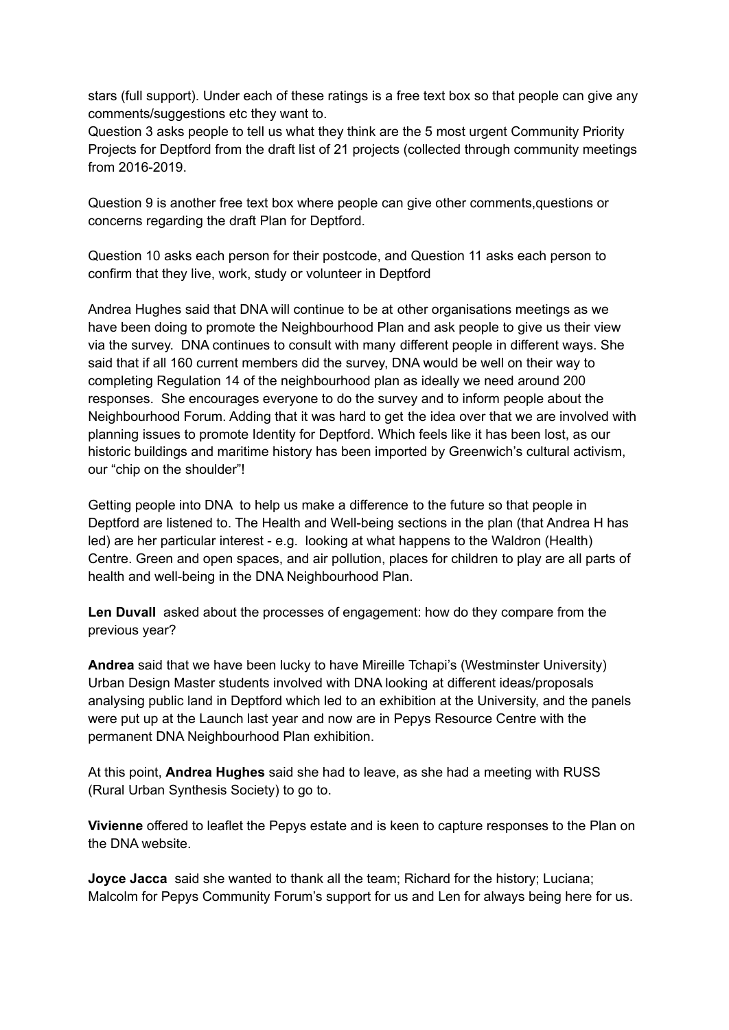stars (full support). Under each of these ratings is a free text box so that people can give any comments/suggestions etc they want to.

Question 3 asks people to tell us what they think are the 5 most urgent Community Priority Projects for Deptford from the draft list of 21 projects (collected through community meetings from 2016-2019.

Question 9 is another free text box where people can give other comments,questions or concerns regarding the draft Plan for Deptford.

Question 10 asks each person for their postcode, and Question 11 asks each person to confirm that they live, work, study or volunteer in Deptford

Andrea Hughes said that DNA will continue to be at other organisations meetings as we have been doing to promote the Neighbourhood Plan and ask people to give us their view via the survey. DNA continues to consult with many different people in different ways. She said that if all 160 current members did the survey, DNA would be well on their way to completing Regulation 14 of the neighbourhood plan as ideally we need around 200 responses. She encourages everyone to do the survey and to inform people about the Neighbourhood Forum. Adding that it was hard to get the idea over that we are involved with planning issues to promote Identity for Deptford. Which feels like it has been lost, as our historic buildings and maritime history has been imported by Greenwich's cultural activism, our "chip on the shoulder"!

Getting people into DNA to help us make a difference to the future so that people in Deptford are listened to. The Health and Well-being sections in the plan (that Andrea H has led) are her particular interest - e.g. looking at what happens to the Waldron (Health) Centre. Green and open spaces, and air pollution, places for children to play are all parts of health and well-being in the DNA Neighbourhood Plan.

**Len Duvall** asked about the processes of engagement: how do they compare from the previous year?

**Andrea** said that we have been lucky to have Mireille Tchapi's (Westminster University) Urban Design Master students involved with DNA looking at different ideas/proposals analysing public land in Deptford which led to an exhibition at the University, and the panels were put up at the Launch last year and now are in Pepys Resource Centre with the permanent DNA Neighbourhood Plan exhibition.

At this point, **Andrea Hughes** said she had to leave, as she had a meeting with RUSS (Rural Urban Synthesis Society) to go to.

**Vivienne** offered to leaflet the Pepys estate and is keen to capture responses to the Plan on the DNA website.

**Joyce Jacca** said she wanted to thank all the team; Richard for the history; Luciana; Malcolm for Pepys Community Forum's support for us and Len for always being here for us.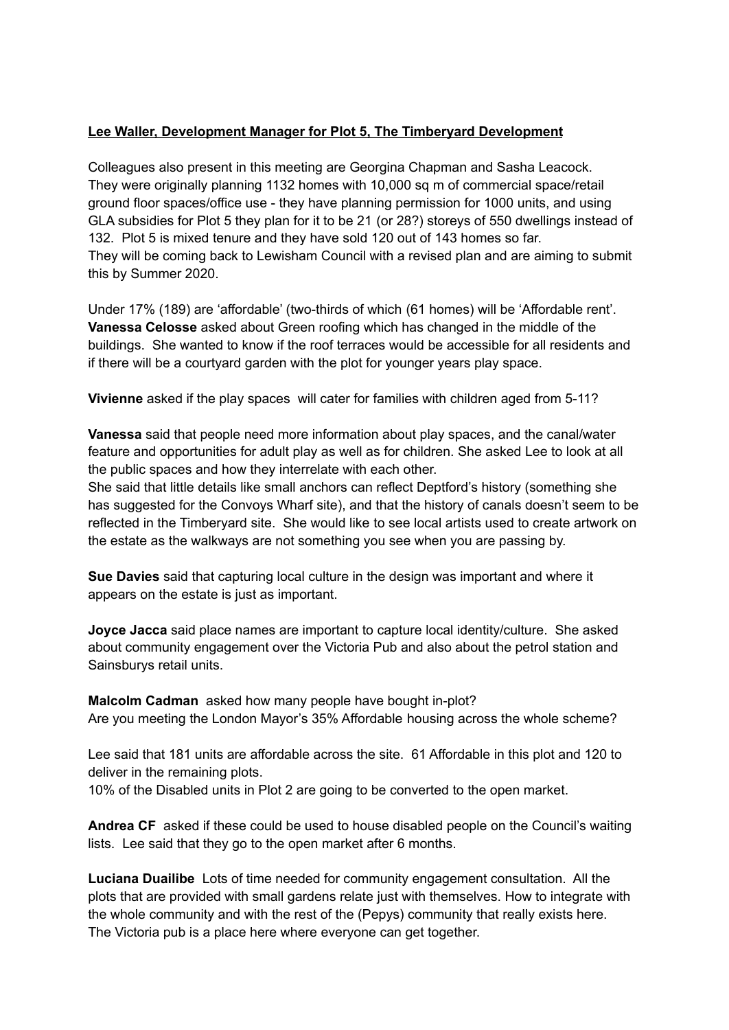# **Lee Waller, Development Manager for Plot 5, The Timberyard Development**

Colleagues also present in this meeting are Georgina Chapman and Sasha Leacock. They were originally planning 1132 homes with 10,000 sq m of commercial space/retail ground floor spaces/office use - they have planning permission for 1000 units, and using GLA subsidies for Plot 5 they plan for it to be 21 (or 28?) storeys of 550 dwellings instead of 132. Plot 5 is mixed tenure and they have sold 120 out of 143 homes so far. They will be coming back to Lewisham Council with a revised plan and are aiming to submit this by Summer 2020.

Under 17% (189) are 'affordable' (two-thirds of which (61 homes) will be 'Affordable rent'. **Vanessa Celosse** asked about Green roofing which has changed in the middle of the buildings. She wanted to know if the roof terraces would be accessible for all residents and if there will be a courtyard garden with the plot for younger years play space.

**Vivienne** asked if the play spaces will cater for families with children aged from 5-11?

**Vanessa** said that people need more information about play spaces, and the canal/water feature and opportunities for adult play as well as for children. She asked Lee to look at all the public spaces and how they interrelate with each other.

She said that little details like small anchors can reflect Deptford's history (something she has suggested for the Convoys Wharf site), and that the history of canals doesn't seem to be reflected in the Timberyard site. She would like to see local artists used to create artwork on the estate as the walkways are not something you see when you are passing by.

**Sue Davies** said that capturing local culture in the design was important and where it appears on the estate is just as important.

**Joyce Jacca** said place names are important to capture local identity/culture. She asked about community engagement over the Victoria Pub and also about the petrol station and Sainsburys retail units.

**Malcolm Cadman** asked how many people have bought in-plot? Are you meeting the London Mayor's 35% Affordable housing across the whole scheme?

Lee said that 181 units are affordable across the site. 61 Affordable in this plot and 120 to deliver in the remaining plots.

10% of the Disabled units in Plot 2 are going to be converted to the open market.

**Andrea CF** asked if these could be used to house disabled people on the Council's waiting lists. Lee said that they go to the open market after 6 months.

**Luciana Duailibe** Lots of time needed for community engagement consultation. All the plots that are provided with small gardens relate just with themselves. How to integrate with the whole community and with the rest of the (Pepys) community that really exists here. The Victoria pub is a place here where everyone can get together.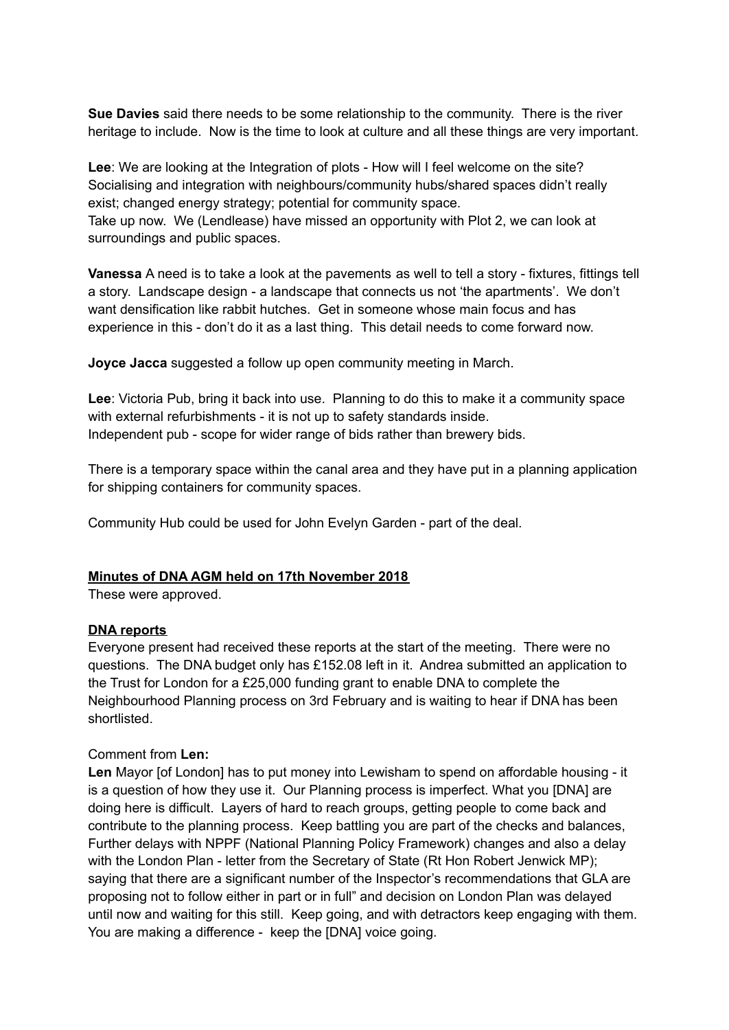**Sue Davies** said there needs to be some relationship to the community. There is the river heritage to include. Now is the time to look at culture and all these things are very important.

Lee: We are looking at the Integration of plots - How will I feel welcome on the site? Socialising and integration with neighbours/community hubs/shared spaces didn't really exist; changed energy strategy; potential for community space. Take up now. We (Lendlease) have missed an opportunity with Plot 2, we can look at surroundings and public spaces.

**Vanessa** A need is to take a look at the pavements as well to tell a story - fixtures, fittings tell a story. Landscape design - a landscape that connects us not 'the apartments'. We don't want densification like rabbit hutches. Get in someone whose main focus and has experience in this - don't do it as a last thing. This detail needs to come forward now.

**Joyce Jacca** suggested a follow up open community meeting in March.

**Lee**: Victoria Pub, bring it back into use. Planning to do this to make it a community space with external refurbishments - it is not up to safety standards inside. Independent pub - scope for wider range of bids rather than brewery bids.

There is a temporary space within the canal area and they have put in a planning application for shipping containers for community spaces.

Community Hub could be used for John Evelyn Garden - part of the deal.

#### **Minutes of DNA AGM held on 17th November 2018**

These were approved.

#### **DNA reports**

Everyone present had received these reports at the start of the meeting. There were no questions. The DNA budget only has £152.08 left in it. Andrea submitted an application to the Trust for London for a £25,000 funding grant to enable DNA to complete the Neighbourhood Planning process on 3rd February and is waiting to hear if DNA has been shortlisted.

#### Comment from **Len:**

**Len** Mayor [of London] has to put money into Lewisham to spend on affordable housing - it is a question of how they use it. Our Planning process is imperfect. What you [DNA] are doing here is difficult. Layers of hard to reach groups, getting people to come back and contribute to the planning process. Keep battling you are part of the checks and balances, Further delays with NPPF (National Planning Policy Framework) changes and also a delay with the London Plan - letter from the Secretary of State (Rt Hon Robert Jenwick MP); saying that there are a significant number of the Inspector's recommendations that GLA are proposing not to follow either in part or in full" and decision on London Plan was delayed until now and waiting for this still. Keep going, and with detractors keep engaging with them. You are making a difference - keep the [DNA] voice going.